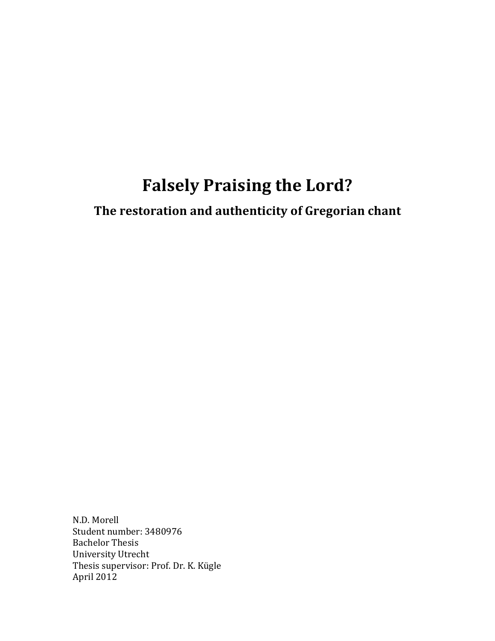# **Falsely Praising the Lord?**

The restoration and authenticity of Gregorian chant

N.D. Morell Student number: 3480976 **Bachelor Thesis** University Utrecht Thesis supervisor: Prof. Dr. K. Kügle April 2012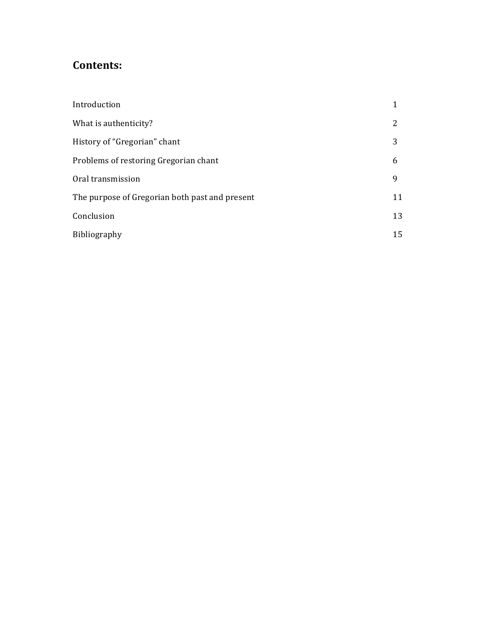## **Contents:**

| Introduction                                   |    |
|------------------------------------------------|----|
| What is authenticity?                          | 2  |
| History of "Gregorian" chant                   | 3  |
| Problems of restoring Gregorian chant          | 6  |
| Oral transmission                              | 9  |
| The purpose of Gregorian both past and present | 11 |
| Conclusion                                     | 13 |
| Bibliography                                   | 15 |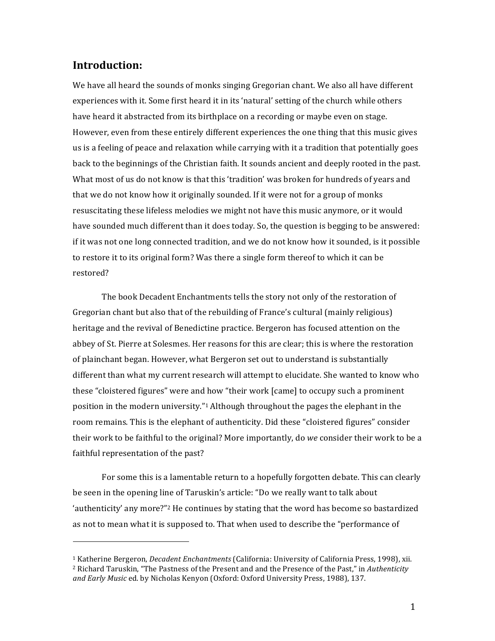#### **Introduction:**

We have all heard the sounds of monks singing Gregorian chant. We also all have different experiences with it. Some first heard it in its 'natural' setting of the church while others have heard it abstracted from its birthplace on a recording or maybe even on stage. However, even from these entirely different experiences the one thing that this music gives us is a feeling of peace and relaxation while carrying with it a tradition that potentially goes back to the beginnings of the Christian faith. It sounds ancient and deeply rooted in the past. What most of us do not know is that this 'tradition' was broken for hundreds of years and that we do not know how it originally sounded. If it were not for a group of monks resuscitating these lifeless melodies we might not have this music anymore, or it would have sounded much different than it does today. So, the question is begging to be answered: if it was not one long connected tradition, and we do not know how it sounded, is it possible to restore it to its original form? Was there a single form thereof to which it can be restored?

The book Decadent Enchantments tells the story not only of the restoration of Gregorian chant but also that of the rebuilding of France's cultural (mainly religious) heritage and the revival of Benedictine practice. Bergeron has focused attention on the abbey of St. Pierre at Solesmes. Her reasons for this are clear; this is where the restoration of plainchant began. However, what Bergeron set out to understand is substantially different than what my current research will attempt to elucidate. She wanted to know who these "cloistered figures" were and how "their work [came] to occupy such a prominent position in the modern university."<sup>1</sup> Although throughout the pages the elephant in the room remains. This is the elephant of authenticity. Did these "cloistered figures" consider their work to be faithful to the original? More importantly, do *we* consider their work to be a faithful representation of the past?

For some this is a lamentable return to a hopefully forgotten debate. This can clearly be seen in the opening line of Taruskin's article: "Do we really want to talk about 'authenticity' any more?"<sup>2</sup> He continues by stating that the word has become so bastardized as not to mean what it is supposed to. That when used to describe the "performance of

!!!!!!!!!!!!!!!!!!!!!!!!!!!!!!!!!!!!!!!!!!!!!!!!!!!!!!!

<sup>&</sup>lt;sup>1</sup> Katherine Bergeron, *Decadent Enchantments* (California: University of California Press, 1998), xii. <sup>2</sup> Richard Taruskin, "The Pastness of the Present and and the Presence of the Past," in *Authenticity* and Early Music ed. by Nicholas Kenyon (Oxford: Oxford University Press, 1988), 137.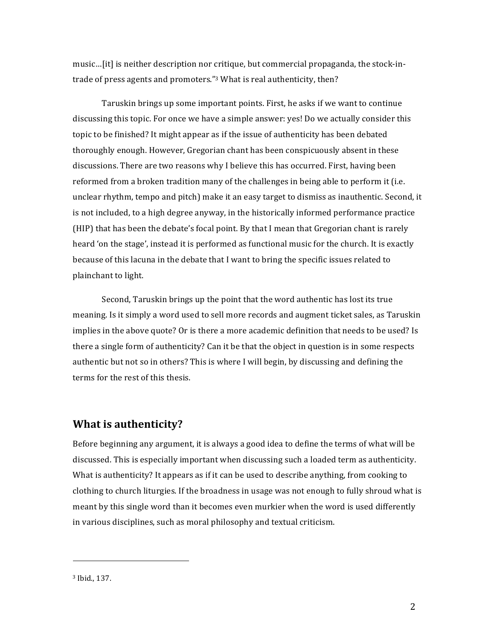music...[it] is neither description nor critique, but commercial propaganda, the stock-intrade of press agents and promoters."3 What is real authenticity, then?

Taruskin brings up some important points. First, he asks if we want to continue discussing this topic. For once we have a simple answer: yes! Do we actually consider this topic to be finished? It might appear as if the issue of authenticity has been debated thoroughly enough. However, Gregorian chant has been conspicuously absent in these discussions. There are two reasons why I believe this has occurred. First, having been reformed from a broken tradition many of the challenges in being able to perform it (i.e. unclear rhythm, tempo and pitch) make it an easy target to dismiss as inauthentic. Second, it is not included, to a high degree anyway, in the historically informed performance practice (HIP) that has been the debate's focal point. By that I mean that Gregorian chant is rarely heard 'on the stage', instead it is performed as functional music for the church. It is exactly because of this lacuna in the debate that I want to bring the specific issues related to plainchant to light.

Second, Taruskin brings up the point that the word authentic has lost its true meaning. Is it simply a word used to sell more records and augment ticket sales, as Taruskin implies in the above quote? Or is there a more academic definition that needs to be used? Is there a single form of authenticity? Can it be that the object in question is in some respects authentic but not so in others? This is where I will begin, by discussing and defining the terms for the rest of this thesis.

#### What is authenticity?

Before beginning any argument, it is always a good idea to define the terms of what will be discussed. This is especially important when discussing such a loaded term as authenticity. What is authenticity? It appears as if it can be used to describe anything, from cooking to clothing to church liturgies. If the broadness in usage was not enough to fully shroud what is meant by this single word than it becomes even murkier when the word is used differently in various disciplines, such as moral philosophy and textual criticism.

<sup>&</sup>lt;sup>3</sup> Ibid., 137.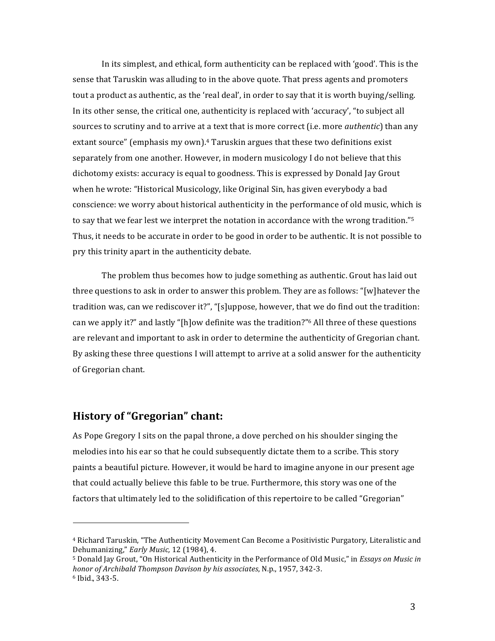In its simplest, and ethical, form authenticity can be replaced with 'good'. This is the sense that Taruskin was alluding to in the above quote. That press agents and promoters tout a product as authentic, as the 'real deal', in order to say that it is worth buying/selling. In its other sense, the critical one, authenticity is replaced with 'accuracy', "to subject all sources to scrutiny and to arrive at a text that is more correct (i.e. more *authentic*) than any extant source" (emphasis my own).<sup>4</sup> Taruskin argues that these two definitions exist separately from one another. However, in modern musicology I do not believe that this dichotomy exists: accuracy is equal to goodness. This is expressed by Donald Jay Grout when he wrote: "Historical Musicology, like Original Sin, has given everybody a bad conscience: we worry about historical authenticity in the performance of old music, which is to say that we fear lest we interpret the notation in accordance with the wrong tradition."<sup>5</sup> Thus, it needs to be accurate in order to be good in order to be authentic. It is not possible to pry this trinity apart in the authenticity debate.

The problem thus becomes how to judge something as authentic. Grout has laid out three questions to ask in order to answer this problem. They are as follows: "[w]hatever the tradition was, can we rediscover it?", "[s]uppose, however, that we do find out the tradition: can we apply it?" and lastly "[h]ow definite was the tradition?" All three of these questions are relevant and important to ask in order to determine the authenticity of Gregorian chant. By asking these three questions I will attempt to arrive at a solid answer for the authenticity of Gregorian chant.

#### **History of "Gregorian" chant:**

As Pope Gregory I sits on the papal throne, a dove perched on his shoulder singing the melodies into his ear so that he could subsequently dictate them to a scribe. This story paints a beautiful picture. However, it would be hard to imagine anyone in our present age that could actually believe this fable to be true. Furthermore, this story was one of the factors that ultimately led to the solidification of this repertoire to be called "Gregorian"

<sup>&</sup>lt;sup>4</sup> Richard Taruskin, "The Authenticity Movement Can Become a Positivistic Purgatory, Literalistic and Dehumanizing," Early Music, 12 (1984), 4.

<sup>&</sup>lt;sup>5</sup> Donald Jay Grout, "On Historical Authenticity in the Performance of Old Music," in *Essays on Music in* honor of Archibald Thompson Davison by his associates, N.p., 1957, 342-3. <sup>6</sup> Ibid., 343-5.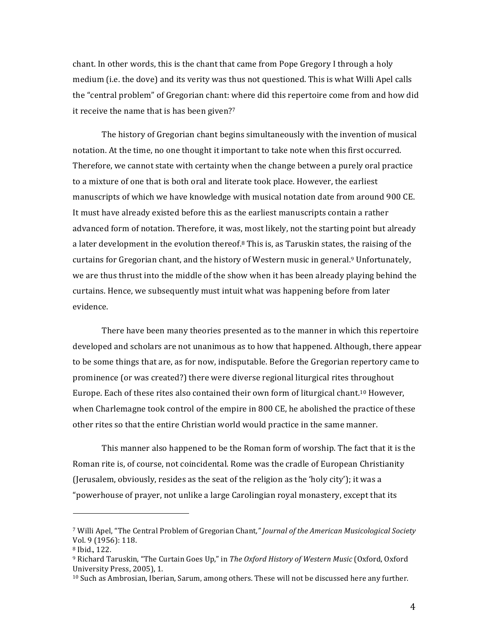chant. In other words, this is the chant that came from Pope Gregory I through a holy medium (i.e. the dove) and its verity was thus not questioned. This is what Willi Apel calls the "central problem" of Gregorian chant: where did this repertoire come from and how did it receive the name that is has been given?7

The history of Gregorian chant begins simultaneously with the invention of musical notation. At the time, no one thought it important to take note when this first occurred. Therefore, we cannot state with certainty when the change between a purely oral practice to a mixture of one that is both oral and literate took place. However, the earliest manuscripts of which we have knowledge with musical notation date from around 900 CE. It must have already existed before this as the earliest manuscripts contain a rather advanced form of notation. Therefore, it was, most likely, not the starting point but already a later development in the evolution thereof.<sup>8</sup> This is, as Taruskin states, the raising of the curtains for Gregorian chant, and the history of Western music in general.<sup>9</sup> Unfortunately, we are thus thrust into the middle of the show when it has been already playing behind the curtains. Hence, we subsequently must intuit what was happening before from later evidence.

There have been many theories presented as to the manner in which this repertoire developed and scholars are not unanimous as to how that happened. Although, there appear to be some things that are, as for now, indisputable. Before the Gregorian repertory came to prominence (or was created?) there were diverse regional liturgical rites throughout Europe. Each of these rites also contained their own form of liturgical chant.<sup>10</sup> However, when Charlemagne took control of the empire in 800 CE, he abolished the practice of these other rites so that the entire Christian world would practice in the same manner.

This manner also happened to be the Roman form of worship. The fact that it is the Roman rite is, of course, not coincidental. Rome was the cradle of European Christianity (Jerusalem, obviously, resides as the seat of the religion as the 'holy city'); it was a "powerhouse of prayer, not unlike a large Carolingian royal monastery, except that its

<sup>&</sup>lt;sup>7</sup> Willi Apel, "The Central Problem of Gregorian Chant," Journal of the American Musicological Society Vol. 9 (1956): 118.

<sup>&</sup>lt;sup>8</sup> Ibid., 122.

<sup>&</sup>lt;sup>9</sup> Richard Taruskin, "The Curtain Goes Up," in The Oxford History of Western Music (Oxford, Oxford University Press, 2005), 1.

<sup>&</sup>lt;sup>10</sup> Such as Ambrosian, Iberian, Sarum, among others. These will not be discussed here any further.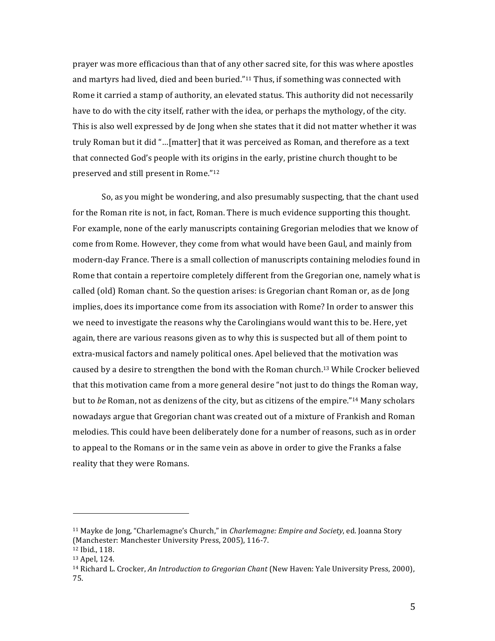prayer was more efficacious than that of any other sacred site, for this was where apostles and martyrs had lived, died and been buried."<sup>11</sup> Thus, if something was connected with Rome it carried a stamp of authority, an elevated status. This authority did not necessarily have to do with the city itself, rather with the idea, or perhaps the mythology, of the city. This is also well expressed by de Jong when she states that it did not matter whether it was truly Roman but it did "...[matter] that it was perceived as Roman, and therefore as a text that connected God's people with its origins in the early, pristine church thought to be preserved and still present in Rome."<sup>12</sup>

So, as you might be wondering, and also presumably suspecting, that the chant used for the Roman rite is not, in fact, Roman. There is much evidence supporting this thought. For example, none of the early manuscripts containing Gregorian melodies that we know of come from Rome. However, they come from what would have been Gaul, and mainly from modern-day France. There is a small collection of manuscripts containing melodies found in Rome that contain a repertoire completely different from the Gregorian one, namely what is called (old) Roman chant. So the question arises: is Gregorian chant Roman or, as de Jong implies, does its importance come from its association with Rome? In order to answer this we need to investigate the reasons why the Carolingians would want this to be. Here, yet again, there are various reasons given as to why this is suspected but all of them point to extra-musical factors and namely political ones. Apel believed that the motivation was caused by a desire to strengthen the bond with the Roman church.<sup>13</sup> While Crocker believed that this motivation came from a more general desire "not just to do things the Roman way, but to be Roman, not as denizens of the city, but as citizens of the empire."14 Many scholars nowadays argue that Gregorian chant was created out of a mixture of Frankish and Roman melodies. This could have been deliberately done for a number of reasons, such as in order to appeal to the Romans or in the same vein as above in order to give the Franks a false reality that they were Romans.

<sup>&</sup>lt;sup>11</sup> Mayke de Jong, "Charlemagne's Church," in *Charlemagne: Empire and Society*, ed. Joanna Story (Manchester: Manchester University Press, 2005), 116-7.

<sup>&</sup>lt;sup>12</sup> Ibid., 118.

<sup>&</sup>lt;sup>13</sup> Apel, 124.

<sup>&</sup>lt;sup>14</sup> Richard L. Crocker, An Introduction to Gregorian Chant (New Haven: Yale University Press, 2000). 75.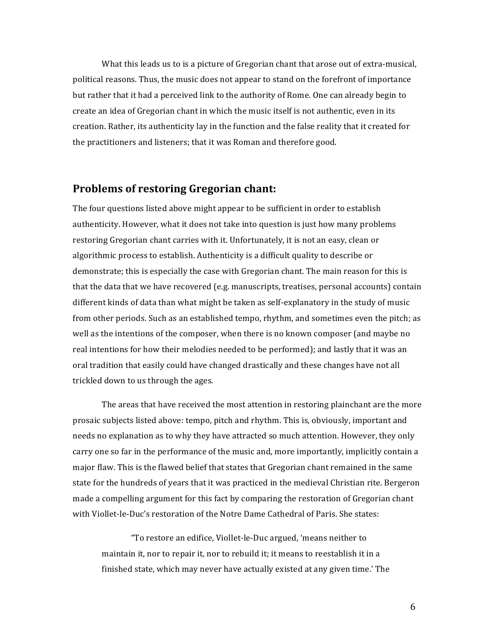What this leads us to is a picture of Gregorian chant that arose out of extra-musical, political reasons. Thus, the music does not appear to stand on the forefront of importance but rather that it had a perceived link to the authority of Rome. One can already begin to create an idea of Gregorian chant in which the music itself is not authentic, even in its creation. Rather, its authenticity lay in the function and the false reality that it created for the practitioners and listeners; that it was Roman and therefore good.

#### Problems of restoring Gregorian chant:

The four questions listed above might appear to be sufficient in order to establish authenticity. However, what it does not take into question is just how many problems restoring Gregorian chant carries with it. Unfortunately, it is not an easy, clean or algorithmic process to establish. Authenticity is a difficult quality to describe or demonstrate; this is especially the case with Gregorian chant. The main reason for this is that the data that we have recovered (e.g. manuscripts, treatises, personal accounts) contain different kinds of data than what might be taken as self-explanatory in the study of music from other periods. Such as an established tempo, rhythm, and sometimes even the pitch; as well as the intentions of the composer, when there is no known composer (and maybe no real intentions for how their melodies needed to be performed); and lastly that it was an oral tradition that easily could have changed drastically and these changes have not all trickled down to us through the ages.

The areas that have received the most attention in restoring plainchant are the more prosaic subjects listed above: tempo, pitch and rhythm. This is, obviously, important and needs no explanation as to why they have attracted so much attention. However, they only carry one so far in the performance of the music and, more importantly, implicitly contain a major flaw. This is the flawed belief that states that Gregorian chant remained in the same state for the hundreds of years that it was practiced in the medieval Christian rite. Bergeron made a compelling argument for this fact by comparing the restoration of Gregorian chant with Viollet-le-Duc's restoration of the Notre Dame Cathedral of Paris. She states:

"To restore an edifice, Viollet-le-Duc argued, 'means neither to maintain it, nor to repair it, nor to rebuild it; it means to reestablish it in a finished state, which may never have actually existed at any given time.' The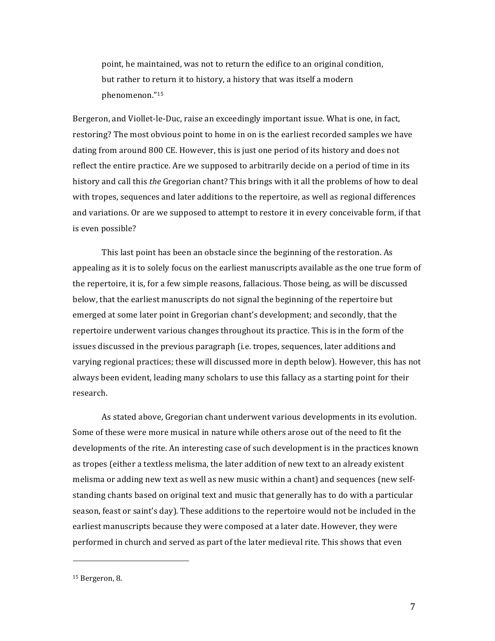point, he maintained, was not to return the edifice to an original condition, but rather to return it to history, a history that was itself a modern phenomenon."15

Bergeron, and Viollet-le-Duc, raise an exceedingly important issue. What is one, in fact, restoring? The most obvious point to home in on is the earliest recorded samples we have dating from around 800 CE. However, this is just one period of its history and does not reflect the entire practice. Are we supposed to arbitrarily decide on a period of time in its history and call this *the* Gregorian chant? This brings with it all the problems of how to deal with tropes, sequences and later additions to the repertoire, as well as regional differences and variations. Or are we supposed to attempt to restore it in every conceivable form, if that is even possible?

This last point has been an obstacle since the beginning of the restoration. As appealing as it is to solely focus on the earliest manuscripts available as the one true form of the repertoire, it is, for a few simple reasons, fallacious. Those being, as will be discussed below, that the earliest manuscripts do not signal the beginning of the repertoire but emerged at some later point in Gregorian chant's development; and secondly, that the repertoire underwent various changes throughout its practice. This is in the form of the issues discussed in the previous paragraph (i.e. tropes, sequences, later additions and varying regional practices; these will discussed more in depth below). However, this has not always been evident, leading many scholars to use this fallacy as a starting point for their research.

As stated above, Gregorian chant underwent various developments in its evolution. Some of these were more musical in nature while others arose out of the need to fit the developments of the rite. An interesting case of such development is in the practices known as tropes (either a textless melisma, the later addition of new text to an already existent melisma or adding new text as well as new music within a chant) and sequences (new selfstanding chants based on original text and music that generally has to do with a particular season, feast or saint's day). These additions to the repertoire would not be included in the earliest manuscripts because they were composed at a later date. However, they were performed in church and served as part of the later medieval rite. This shows that even

!!!!!!!!!!!!!!!!!!!!!!!!!!!!!!!!!!!!!!!!!!!!!!!!!!!!!!!

 $15$  Bergeron, 8.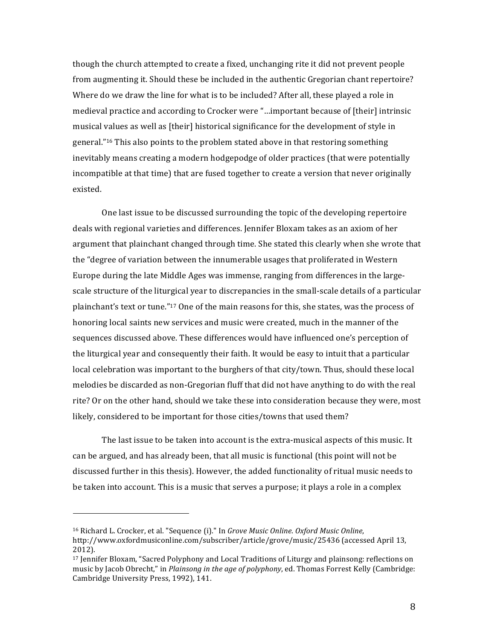though the church attempted to create a fixed, unchanging rite it did not prevent people from augmenting it. Should these be included in the authentic Gregorian chant repertoire? Where do we draw the line for what is to be included? After all, these played a role in medieval practice and according to Crocker were "...important because of [their] intrinsic musical values as well as [their] historical significance for the development of style in general."<sup>16</sup> This also points to the problem stated above in that restoring something inevitably means creating a modern hodgepodge of older practices (that were potentially incompatible at that time) that are fused together to create a version that never originally existed.

One last issue to be discussed surrounding the topic of the developing repertoire deals with regional varieties and differences. Jennifer Bloxam takes as an axiom of her argument that plainchant changed through time. She stated this clearly when she wrote that the "degree of variation between the innumerable usages that proliferated in Western Europe during the late Middle Ages was immense, ranging from differences in the largescale structure of the liturgical year to discrepancies in the small-scale details of a particular plainchant's text or tune."<sup>17</sup> One of the main reasons for this, she states, was the process of honoring local saints new services and music were created, much in the manner of the sequences discussed above. These differences would have influenced one's perception of the liturgical year and consequently their faith. It would be easy to intuit that a particular local celebration was important to the burghers of that city/town. Thus, should these local melodies be discarded as non-Gregorian fluff that did not have anything to do with the real rite? Or on the other hand, should we take these into consideration because they were, most likely, considered to be important for those cities/towns that used them?

The last issue to be taken into account is the extra-musical aspects of this music. It can be argued, and has already been, that all music is functional (this point will not be discussed further in this thesis). However, the added functionality of ritual music needs to be taken into account. This is a music that serves a purpose; it plays a role in a complex

!!!!!!!!!!!!!!!!!!!!!!!!!!!!!!!!!!!!!!!!!!!!!!!!!!!!!!!

<sup>&</sup>lt;sup>16</sup> Richard L. Crocker, et al. "Sequence (i)." In *Grove Music Online. Oxford Music Online*, http://www.oxfordmusiconline.com/subscriber/article/grove/music/25436 (accessed April 13, 2012).

<sup>&</sup>lt;sup>17</sup> Jennifer Bloxam, "Sacred Polyphony and Local Traditions of Liturgy and plainsong: reflections on music by Jacob Obrecht," in *Plainsong in the age of polyphony*, ed. Thomas Forrest Kelly (Cambridge: Cambridge University Press, 1992), 141.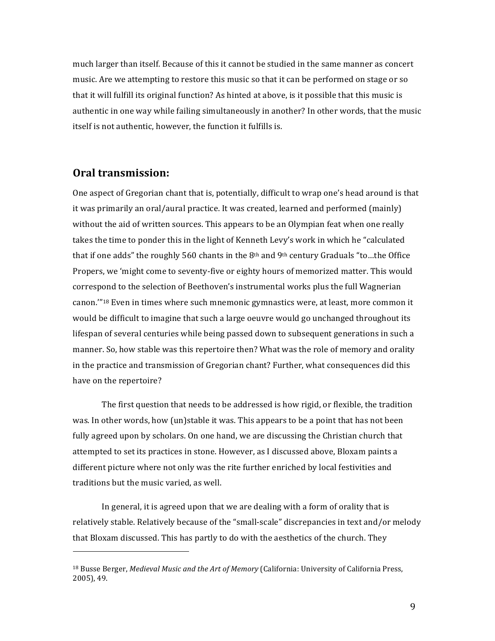much larger than itself. Because of this it cannot be studied in the same manner as concert music. Are we attempting to restore this music so that it can be performed on stage or so that it will fulfill its original function? As hinted at above, is it possible that this music is authentic in one way while failing simultaneously in another? In other words, that the music itself is not authentic, however, the function it fulfills is.

#### **Oral!transmission:**

!!!!!!!!!!!!!!!!!!!!!!!!!!!!!!!!!!!!!!!!!!!!!!!!!!!!!!!

One aspect of Gregorian chant that is, potentially, difficult to wrap one's head around is that it was primarily an oral/aural practice. It was created, learned and performed (mainly) without the aid of written sources. This appears to be an Olympian feat when one really takes the time to ponder this in the light of Kenneth Levy's work in which he "calculated that if one adds" the roughly 560 chants in the 8<sup>th</sup> and 9<sup>th</sup> century Graduals "to...the Office Propers, we 'might come to seventy-five or eighty hours of memorized matter. This would correspond to the selection of Beethoven's instrumental works plus the full Wagnerian canon."<sup>18</sup> Even in times where such mnemonic gymnastics were, at least, more common it would be difficult to imagine that such a large oeuvre would go unchanged throughout its lifespan of several centuries while being passed down to subsequent generations in such a manner. So, how stable was this repertoire then? What was the role of memory and orality in the practice and transmission of Gregorian chant? Further, what consequences did this have on the repertoire?

The first question that needs to be addressed is how rigid, or flexible, the tradition was. In other words, how (un)stable it was. This appears to be a point that has not been fully agreed upon by scholars. On one hand, we are discussing the Christian church that attempted to set its practices in stone. However, as I discussed above, Bloxam paints a different picture where not only was the rite further enriched by local festivities and traditions but the music varied, as well.

In general, it is agreed upon that we are dealing with a form of orality that is relatively stable. Relatively because of the "small-scale" discrepancies in text and/or melody that Bloxam discussed. This has partly to do with the aesthetics of the church. They

<sup>&</sup>lt;sup>18</sup> Busse Berger, *Medieval Music and the Art of Memory* (California: University of California Press, 2005), 49.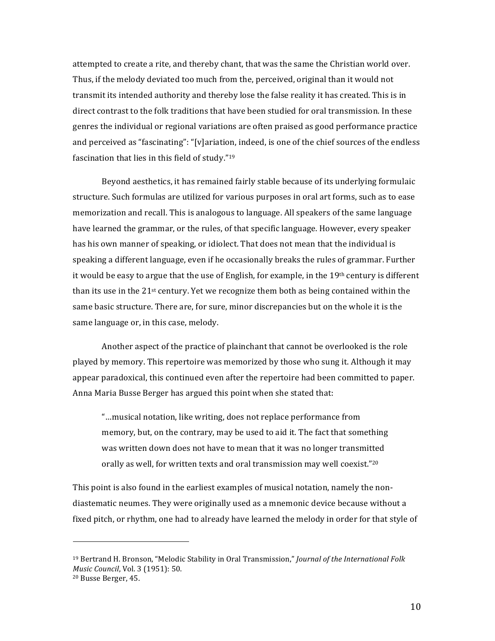attempted to create a rite, and thereby chant, that was the same the Christian world over. Thus, if the melody deviated too much from the, perceived, original than it would not transmit its intended authority and thereby lose the false reality it has created. This is in direct contrast to the folk traditions that have been studied for oral transmission. In these genres the individual or regional variations are often praised as good performance practice and perceived as "fascinating": "[v]ariation, indeed, is one of the chief sources of the endless fascination that lies in this field of study."<sup>19</sup>

Beyond aesthetics, it has remained fairly stable because of its underlying formulaic structure. Such formulas are utilized for various purposes in oral art forms, such as to ease memorization and recall. This is analogous to language. All speakers of the same language have learned the grammar, or the rules, of that specific language. However, every speaker has his own manner of speaking, or idiolect. That does not mean that the individual is speaking a different language, even if he occasionally breaks the rules of grammar. Further it would be easy to argue that the use of English, for example, in the 19th century is different than its use in the  $21^{st}$  century. Yet we recognize them both as being contained within the same basic structure. There are, for sure, minor discrepancies but on the whole it is the same language or, in this case, melody.

Another aspect of the practice of plainchant that cannot be overlooked is the role played by memory. This repertoire was memorized by those who sung it. Although it may appear paradoxical, this continued even after the repertoire had been committed to paper. Anna Maria Busse Berger has argued this point when she stated that:

"...musical notation, like writing, does not replace performance from memory, but, on the contrary, may be used to aid it. The fact that something was written down does not have to mean that it was no longer transmitted orally as well, for written texts and oral transmission may well coexist."20

This point is also found in the earliest examples of musical notation, namely the nondiastematic neumes. They were originally used as a mnemonic device because without a fixed pitch, or rhythm, one had to already have learned the melody in order for that style of

<sup>&</sup>lt;sup>19</sup> Bertrand H. Bronson, "Melodic Stability in Oral Transmission," Journal of the International Folk Music Council, Vol. 3 (1951): 50.

<sup>&</sup>lt;sup>20</sup> Busse Berger, 45.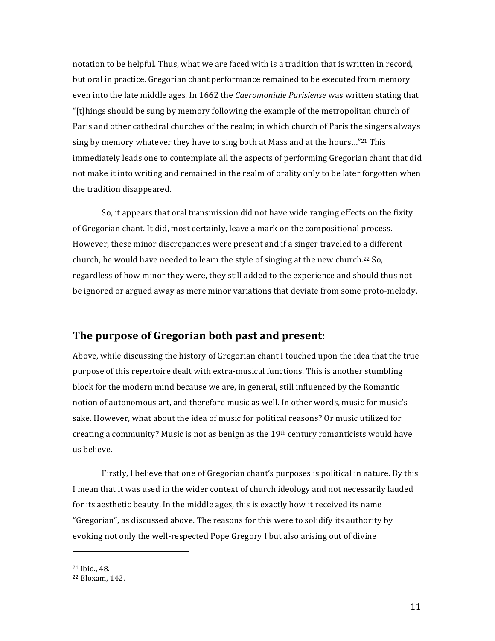notation to be helpful. Thus, what we are faced with is a tradition that is written in record, but oral in practice. Gregorian chant performance remained to be executed from memory even into the late middle ages. In 1662 the Caeromoniale Parisiense was written stating that "[t]hings should be sung by memory following the example of the metropolitan church of Paris and other cathedral churches of the realm; in which church of Paris the singers always sing by memory whatever they have to sing both at Mass and at the hours..."<sup>21</sup> This immediately leads one to contemplate all the aspects of performing Gregorian chant that did not make it into writing and remained in the realm of orality only to be later forgotten when the tradition disappeared.

So, it appears that oral transmission did not have wide ranging effects on the fixity of Gregorian chant. It did, most certainly, leave a mark on the compositional process. However, these minor discrepancies were present and if a singer traveled to a different church, he would have needed to learn the style of singing at the new church.<sup>22</sup> So, regardless of how minor they were, they still added to the experience and should thus not be ignored or argued away as mere minor variations that deviate from some proto-melody.

#### The purpose of Gregorian both past and present:

Above, while discussing the history of Gregorian chant I touched upon the idea that the true purpose of this repertoire dealt with extra-musical functions. This is another stumbling block for the modern mind because we are, in general, still influenced by the Romantic notion of autonomous art, and therefore music as well. In other words, music for music's sake. However, what about the idea of music for political reasons? Or music utilized for creating a community? Music is not as benign as the  $19<sup>th</sup>$  century romanticists would have us believe.

Firstly, I believe that one of Gregorian chant's purposes is political in nature. By this I mean that it was used in the wider context of church ideology and not necessarily lauded for its aesthetic beauty. In the middle ages, this is exactly how it received its name "Gregorian", as discussed above. The reasons for this were to solidify its authority by evoking not only the well-respected Pope Gregory I but also arising out of divine

<sup>&</sup>lt;sup>21</sup> Ibid., 48.

<sup>&</sup>lt;sup>22</sup> Bloxam, 142.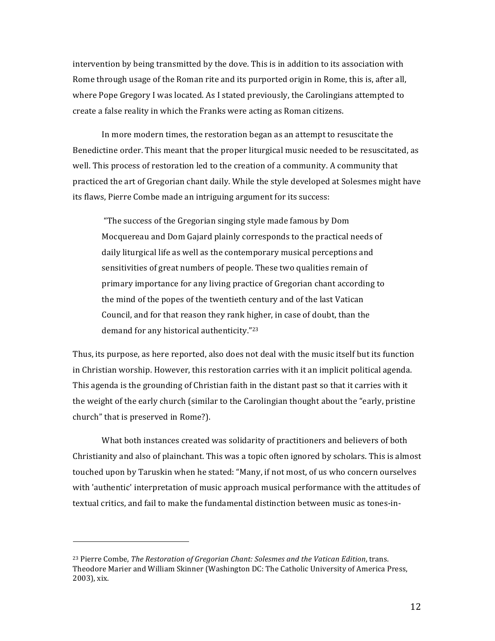intervention by being transmitted by the dove. This is in addition to its association with Rome through usage of the Roman rite and its purported origin in Rome, this is, after all, where Pope Gregory I was located. As I stated previously, the Carolingians attempted to create a false reality in which the Franks were acting as Roman citizens.

In more modern times, the restoration began as an attempt to resuscitate the Benedictine order. This meant that the proper liturgical music needed to be resuscitated, as well. This process of restoration led to the creation of a community. A community that practiced the art of Gregorian chant daily. While the style developed at Solesmes might have its flaws, Pierre Combe made an intriguing argument for its success:

"The success of the Gregorian singing style made famous by Dom Mocquereau and Dom Gajard plainly corresponds to the practical needs of daily liturgical life as well as the contemporary musical perceptions and sensitivities of great numbers of people. These two qualities remain of primary importance for any living practice of Gregorian chant according to the mind of the popes of the twentieth century and of the last Vatican Council, and for that reason they rank higher, in case of doubt, than the demand for any historical authenticity."23

Thus, its purpose, as here reported, also does not deal with the music itself but its function in Christian worship. However, this restoration carries with it an implicit political agenda. This agenda is the grounding of Christian faith in the distant past so that it carries with it the weight of the early church (similar to the Carolingian thought about the "early, pristine" church" that is preserved in Rome?).

What both instances created was solidarity of practitioners and believers of both Christianity and also of plainchant. This was a topic often ignored by scholars. This is almost touched upon by Taruskin when he stated: "Many, if not most, of us who concern ourselves with 'authentic' interpretation of music approach musical performance with the attitudes of textual critics, and fail to make the fundamental distinction between music as tones-in-

<sup>&</sup>lt;sup>23</sup> Pierre Combe, The Restoration of Gregorian Chant: Solesmes and the Vatican Edition, trans. Theodore Marier and William Skinner (Washington DC: The Catholic University of America Press, 2003), xix.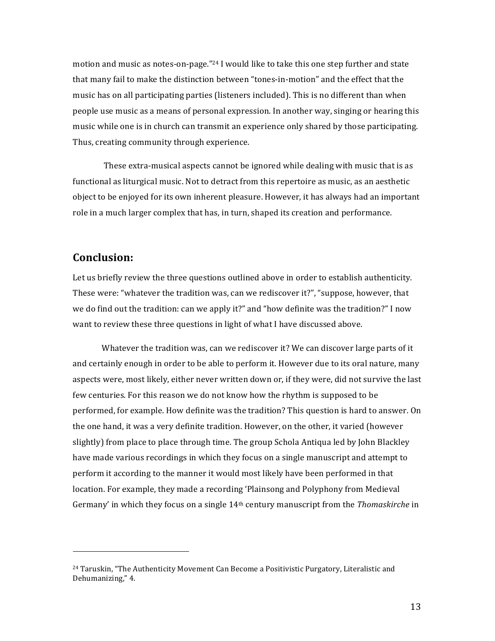motion and music as notes-on-page."<sup>24</sup> I would like to take this one step further and state that many fail to make the distinction between "tones-in-motion" and the effect that the music has on all participating parties (listeners included). This is no different than when people use music as a means of personal expression. In another way, singing or hearing this music while one is in church can transmit an experience only shared by those participating. Thus, creating community through experience.

These extra-musical aspects cannot be ignored while dealing with music that is as functional as liturgical music. Not to detract from this repertoire as music, as an aesthetic object to be enjoved for its own inherent pleasure. However, it has always had an important role in a much larger complex that has, in turn, shaped its creation and performance.

#### **Conclusion:**

Let us briefly review the three questions outlined above in order to establish authenticity. These were: "whatever the tradition was, can we rediscover it?", "suppose, however, that we do find out the tradition: can we apply it?" and "how definite was the tradition?" I now want to review these three questions in light of what I have discussed above.

Whatever the tradition was, can we rediscover it? We can discover large parts of it and certainly enough in order to be able to perform it. However due to its oral nature, many aspects were, most likely, either never written down or, if they were, did not survive the last few centuries. For this reason we do not know how the rhythm is supposed to be performed, for example. How definite was the tradition? This question is hard to answer. On the one hand, it was a very definite tradition. However, on the other, it varied (however slightly) from place to place through time. The group Schola Antiqua led by John Blackley have made various recordings in which they focus on a single manuscript and attempt to perform it according to the manner it would most likely have been performed in that location. For example, they made a recording 'Plainsong and Polyphony from Medieval Germany' in which they focus on a single 14<sup>th</sup> century manuscript from the *Thomaskirche* in

<sup>&</sup>lt;sup>24</sup> Taruskin, "The Authenticity Movement Can Become a Positivistic Purgatory, Literalistic and Dehumanizing," 4.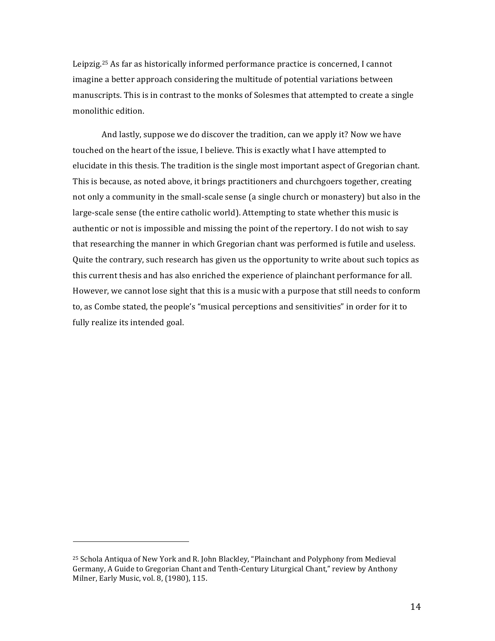Leipzig.<sup>25</sup> As far as historically informed performance practice is concerned, I cannot imagine a better approach considering the multitude of potential variations between manuscripts. This is in contrast to the monks of Solesmes that attempted to create a single monolithic edition.

And lastly, suppose we do discover the tradition, can we apply it? Now we have touched on the heart of the issue, I believe. This is exactly what I have attempted to elucidate in this thesis. The tradition is the single most important aspect of Gregorian chant. This is because, as noted above, it brings practitioners and churchgoers together, creating not only a community in the small-scale sense (a single church or monastery) but also in the large-scale sense (the entire catholic world). Attempting to state whether this music is authentic or not is impossible and missing the point of the repertory. I do not wish to say that researching the manner in which Gregorian chant was performed is futile and useless. Quite the contrary, such research has given us the opportunity to write about such topics as this current thesis and has also enriched the experience of plainchant performance for all. However, we cannot lose sight that this is a music with a purpose that still needs to conform to, as Combe stated, the people's "musical perceptions and sensitivities" in order for it to fully realize its intended goal.

<sup>&</sup>lt;sup>25</sup> Schola Antiqua of New York and R. John Blackley, "Plainchant and Polyphony from Medieval Germany, A Guide to Gregorian Chant and Tenth-Century Liturgical Chant," review by Anthony Milner, Early Music, vol. 8, (1980), 115.